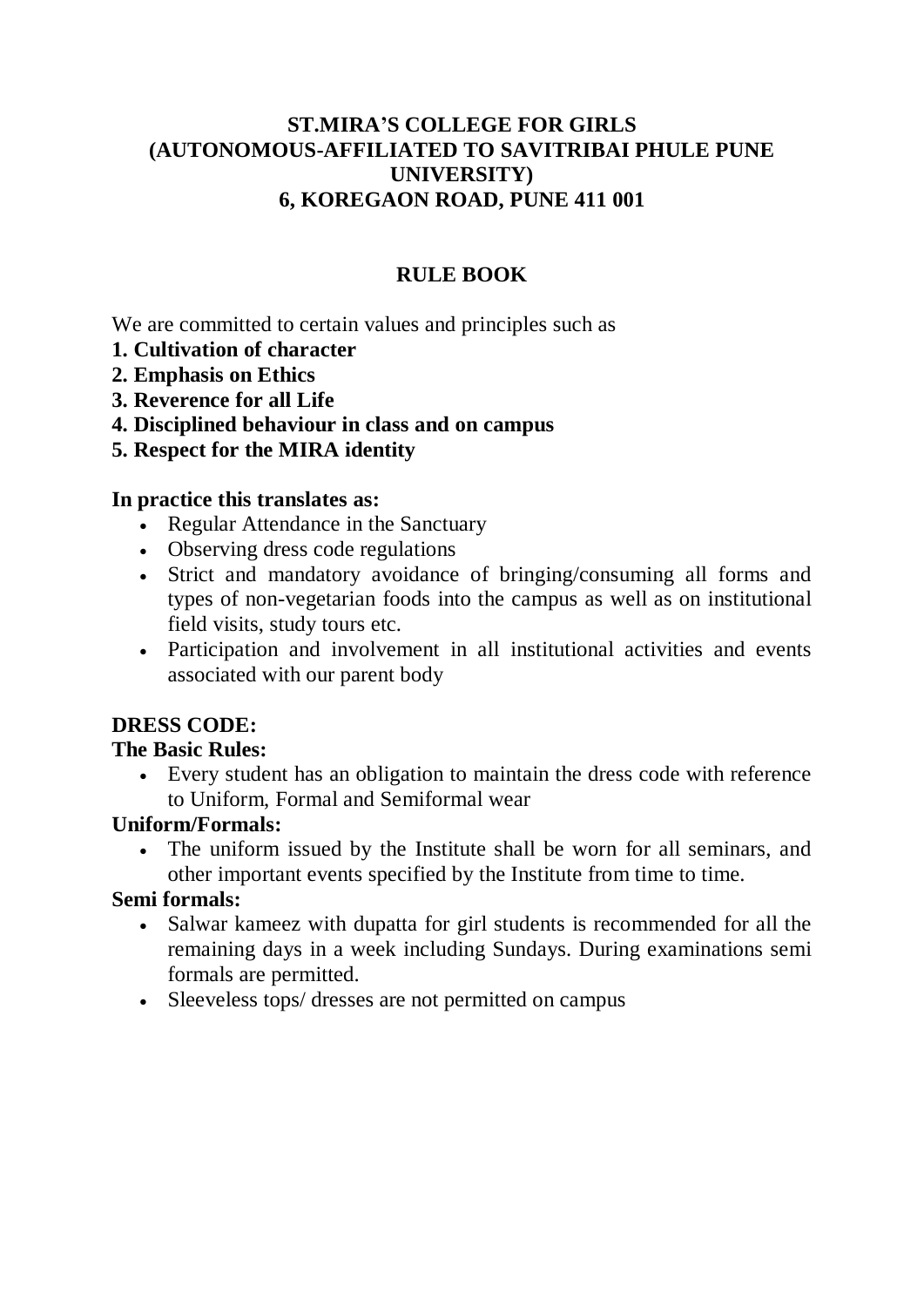# **ST.MIRA'S COLLEGE FOR GIRLS (AUTONOMOUS-AFFILIATED TO SAVITRIBAI PHULE PUNE UNIVERSITY) 6, KOREGAON ROAD, PUNE 411 001**

# **RULE BOOK**

We are committed to certain values and principles such as

- **1. Cultivation of character**
- **2. Emphasis on Ethics**
- **3. Reverence for all Life**
- **4. Disciplined behaviour in class and on campus**
- **5. Respect for the MIRA identity**

### **In practice this translates as:**

- Regular Attendance in the Sanctuary
- Observing dress code regulations
- Strict and mandatory avoidance of bringing/consuming all forms and types of non-vegetarian foods into the campus as well as on institutional field visits, study tours etc.
- Participation and involvement in all institutional activities and events associated with our parent body

# **DRESS CODE:**

### **The Basic Rules:**

 Every student has an obligation to maintain the dress code with reference to Uniform, Formal and Semiformal wear

### **Uniform/Formals:**

 The uniform issued by the Institute shall be worn for all seminars, and other important events specified by the Institute from time to time.

### **Semi formals:**

- Salwar kameez with dupatta for girl students is recommended for all the remaining days in a week including Sundays. During examinations semi formals are permitted.
- Sleeveless tops/ dresses are not permitted on campus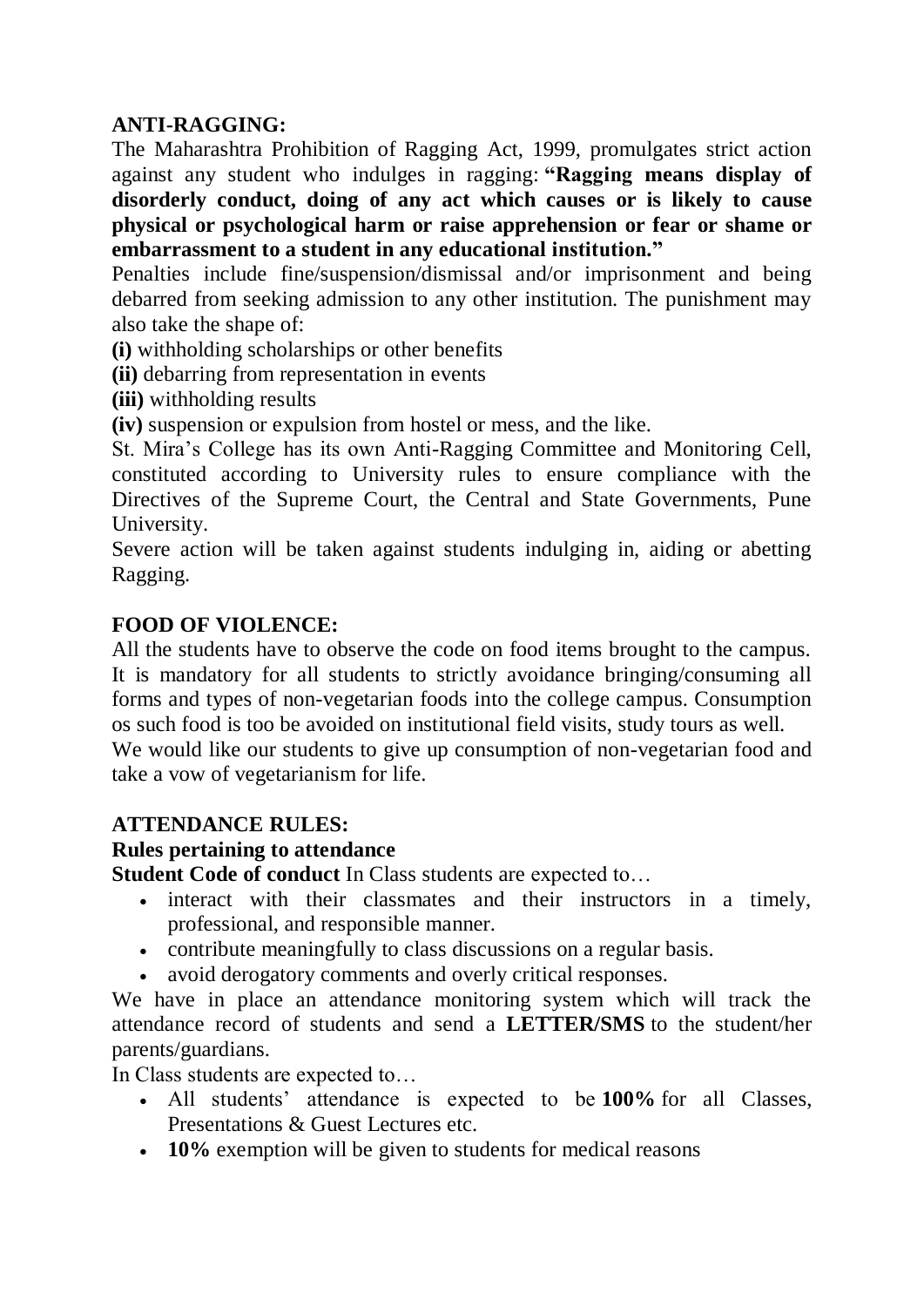# **ANTI-RAGGING:**

The Maharashtra Prohibition of Ragging Act, 1999, promulgates strict action against any student who indulges in ragging: **"Ragging means display of disorderly conduct, doing of any act which causes or is likely to cause physical or psychological harm or raise apprehension or fear or shame or embarrassment to a student in any educational institution."**

Penalties include fine/suspension/dismissal and/or imprisonment and being debarred from seeking admission to any other institution. The punishment may also take the shape of:

**(i)** withholding scholarships or other benefits

- **(ii)** debarring from representation in events
- **(iii)** withholding results
- **(iv)** suspension or expulsion from hostel or mess, and the like.

St. Mira's College has its own Anti-Ragging Committee and Monitoring Cell, constituted according to University rules to ensure compliance with the Directives of the Supreme Court, the Central and State Governments, Pune University.

Severe action will be taken against students indulging in, aiding or abetting Ragging.

## **FOOD OF VIOLENCE:**

All the students have to observe the code on food items brought to the campus. It is mandatory for all students to strictly avoidance bringing/consuming all forms and types of non-vegetarian foods into the college campus. Consumption os such food is too be avoided on institutional field visits, study tours as well. We would like our students to give up consumption of non-vegetarian food and take a vow of vegetarianism for life.

### **ATTENDANCE RULES:**

### **Rules pertaining to attendance**

**Student Code of conduct** In Class students are expected to…

- interact with their classmates and their instructors in a timely, professional, and responsible manner.
- contribute meaningfully to class discussions on a regular basis.
- avoid derogatory comments and overly critical responses.

We have in place an attendance monitoring system which will track the attendance record of students and send a **LETTER/SMS** to the student/her parents/guardians.

In Class students are expected to…

- All students' attendance is expected to be **100%** for all Classes, Presentations & Guest Lectures etc.
- **10%** exemption will be given to students for medical reasons